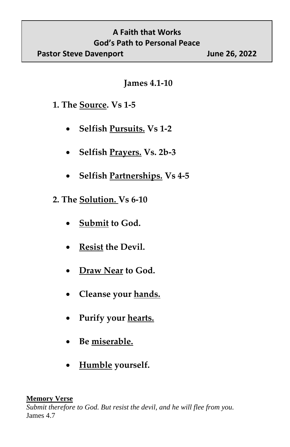## **A Faith that Works God's Path to Personal Peace Pastor Steve Davenport June 26, 2022**

**James 4.1-10**

## **1. The Source. Vs 1-5**

- **Selfish Pursuits. Vs 1-2**
- **Selfish Prayers. Vs. 2b-3**
- **Selfish Partnerships. Vs 4-5**
- **2. The Solution. Vs 6-10**
	- **Submit to God.**
	- **Resist the Devil.**
	- **Draw Near to God.**
	- **Cleanse your hands.**
	- **Purify your hearts.**
	- **Be miserable.**
	- **Humble yourself.**

## **Memory Verse**

*Submit therefore to God. But resist the devil, and he will flee from you.*  James 4.7